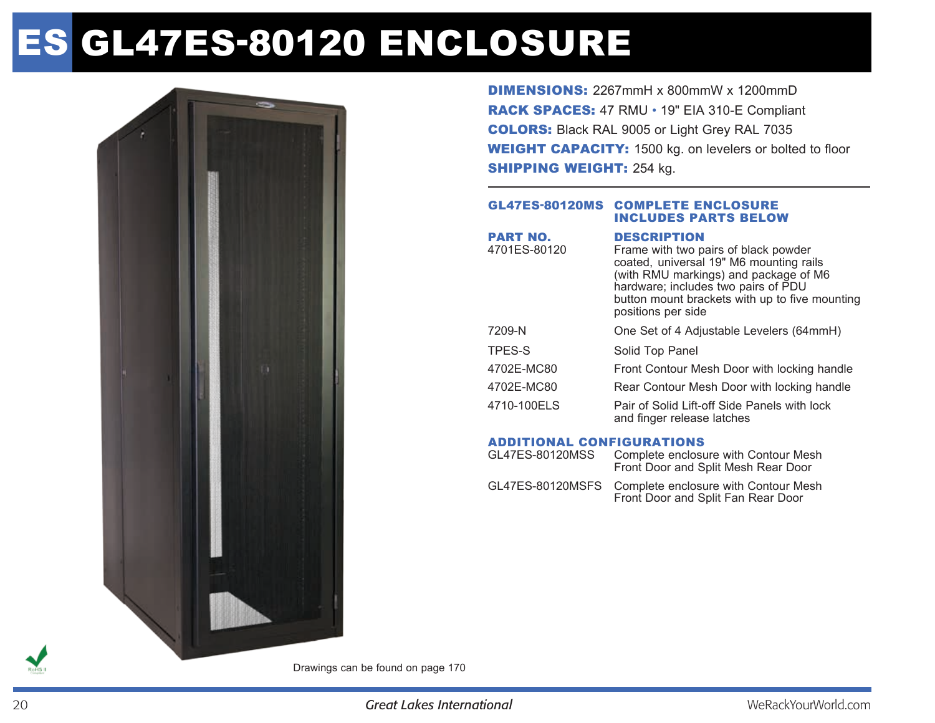# es GL47ES-80120 enclosure



DIMENSIONS: 2267mmH x 800mmW x 1200mmD RACK SPACES: 47 RMU • 19" EIA 310-E Compliant COLORS: Black RAL 9005 or Light Grey RAL 7035 WEIGHT CAPACITY: 1500 kg. on levelers or bolted to floor **SHIPPING WEIGHT: 254 kg.** 

#### GL47ES-80120MS Complete enclosure includes parts below

| <b>DESCRIPTION</b><br>Frame with two pairs of black powder<br>coated, universal 19" M6 mounting rails<br>(with RMU markings) and package of M6<br>hardware; includes two pairs of PDU<br>button mount brackets with up to five mounting<br>positions per side |
|---------------------------------------------------------------------------------------------------------------------------------------------------------------------------------------------------------------------------------------------------------------|
| One Set of 4 Adjustable Levelers (64mmH)                                                                                                                                                                                                                      |
| Solid Top Panel                                                                                                                                                                                                                                               |
| Front Contour Mesh Door with locking handle                                                                                                                                                                                                                   |
| Rear Contour Mesh Door with locking handle                                                                                                                                                                                                                    |
| Pair of Solid Lift-off Side Panels with lock<br>and finger release latches                                                                                                                                                                                    |
|                                                                                                                                                                                                                                                               |

#### Additional Configurations

| GL47ES-80120MSS | Complete enclosure with Contour Mesh<br>Front Door and Split Mesh Rear Door                 |
|-----------------|---------------------------------------------------------------------------------------------|
|                 | GL47ES-80120MSFS Complete enclosure with Contour Mesh<br>Front Door and Split Fan Rear Door |

Drawings can be found on page 170